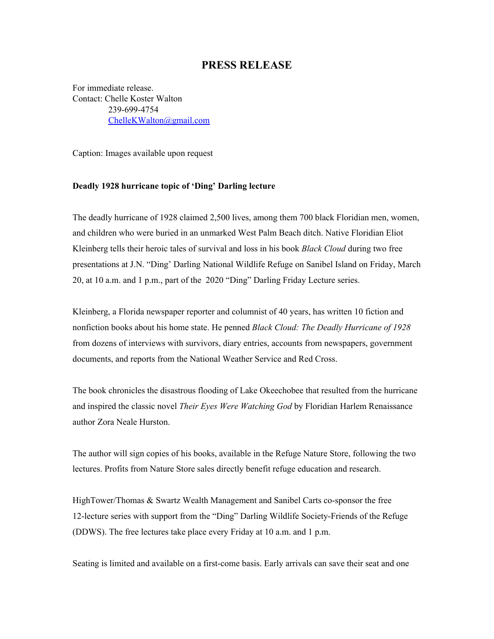## **PRESS RELEASE**

For immediate release. Contact: Chelle Koster Walton 239-699-4754 [ChelleKWalton@gmail.com](mailto:ChelleKWalton@gmail.com)

Caption: Images available upon request

## **Deadly 1928 hurricane topic of 'Ding' Darling lecture**

The deadly hurricane of 1928 claimed 2,500 lives, among them 700 black Floridian men, women, and children who were buried in an unmarked West Palm Beach ditch. Native Floridian Eliot Kleinberg tells their heroic tales of survival and loss in his book *Black Cloud* during two free presentations at J.N. "Ding' Darling National Wildlife Refuge on Sanibel Island on Friday, March 20, at 10 a.m. and 1 p.m., part of the 2020 "Ding" Darling Friday Lecture series.

Kleinberg, a Florida newspaper reporter and columnist of 40 years, has written 10 fiction and nonfiction books about his home state. He penned *Black Cloud: The Deadly Hurricane of 1928* from dozens of interviews with survivors, diary entries, accounts from newspapers, government documents, and reports from the National Weather Service and Red Cross.

The book chronicles the disastrous flooding of Lake Okeechobee that resulted from the hurricane and inspired the classic novel *Their Eyes Were Watching God* by Floridian Harlem Renaissance author Zora Neale Hurston.

The author will sign copies of his books, available in the Refuge Nature Store, following the two lectures. Profits from Nature Store sales directly benefit refuge education and research.

HighTower/Thomas & Swartz Wealth Management and Sanibel Carts co-sponsor the free 12-lecture series with support from the "Ding" Darling Wildlife Society-Friends of the Refuge (DDWS). The free lectures take place every Friday at 10 a.m. and 1 p.m.

Seating is limited and available on a first-come basis. Early arrivals can save their seat and one